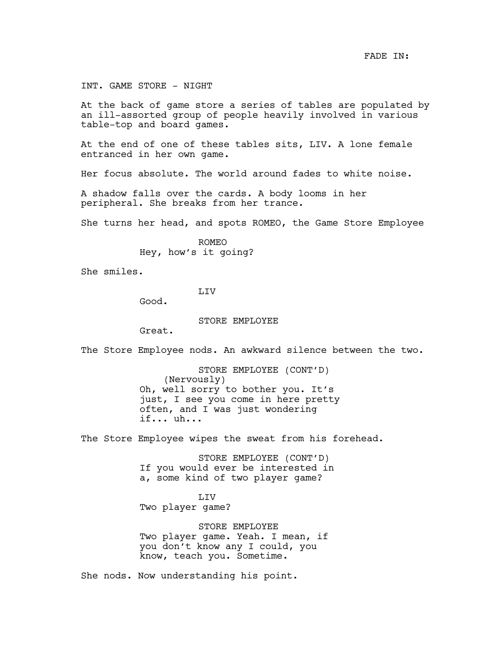FADE IN:

INT. GAME STORE - NIGHT

At the back of game store a series of tables are populated by an ill-assorted group of people heavily involved in various table-top and board games.

At the end of one of these tables sits, LIV. A lone female entranced in her own game.

Her focus absolute. The world around fades to white noise.

A shadow falls over the cards. A body looms in her peripheral. She breaks from her trance.

She turns her head, and spots ROMEO, the Game Store Employee

ROMEO Hey, how's it going?

She smiles.

LIV

Good.

STORE EMPLOYEE

Great.

The Store Employee nods. An awkward silence between the two.

STORE EMPLOYEE (CONT'D) (Nervously) Oh, well sorry to bother you. It's just, I see you come in here pretty often, and I was just wondering if... uh...

The Store Employee wipes the sweat from his forehead.

STORE EMPLOYEE (CONT'D) If you would ever be interested in a, some kind of two player game?

LIV Two player game?

STORE EMPLOYEE Two player game. Yeah. I mean, if you don't know any I could, you know, teach you. Sometime.

She nods. Now understanding his point.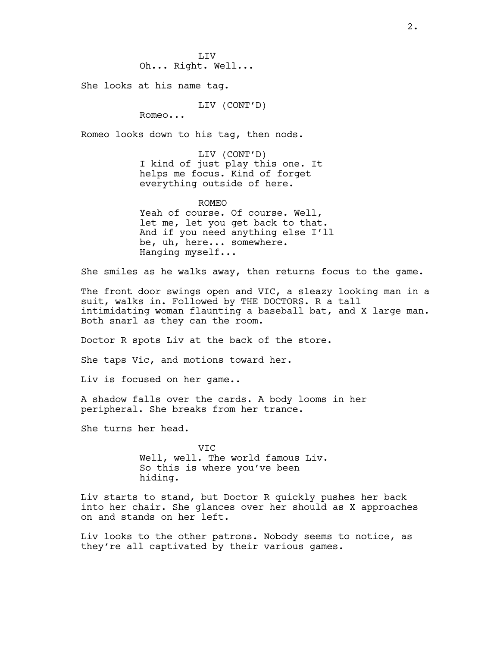She looks at his name tag.

LIV (CONT'D)

Romeo...

Romeo looks down to his tag, then nods.

LIV (CONT'D) I kind of just play this one. It helps me focus. Kind of forget everything outside of here.

ROMEO

Yeah of course. Of course. Well, let me, let you get back to that. And if you need anything else I'll be, uh, here... somewhere. Hanging myself...

She smiles as he walks away, then returns focus to the game.

The front door swings open and VIC, a sleazy looking man in a suit, walks in. Followed by THE DOCTORS. R a tall intimidating woman flaunting a baseball bat, and X large man. Both snarl as they can the room.

Doctor R spots Liv at the back of the store.

She taps Vic, and motions toward her.

Liv is focused on her game..

A shadow falls over the cards. A body looms in her peripheral. She breaks from her trance.

She turns her head.

VIC Well, well. The world famous Liv. So this is where you've been hiding.

Liv starts to stand, but Doctor R quickly pushes her back into her chair. She glances over her should as X approaches on and stands on her left.

Liv looks to the other patrons. Nobody seems to notice, as they're all captivated by their various games.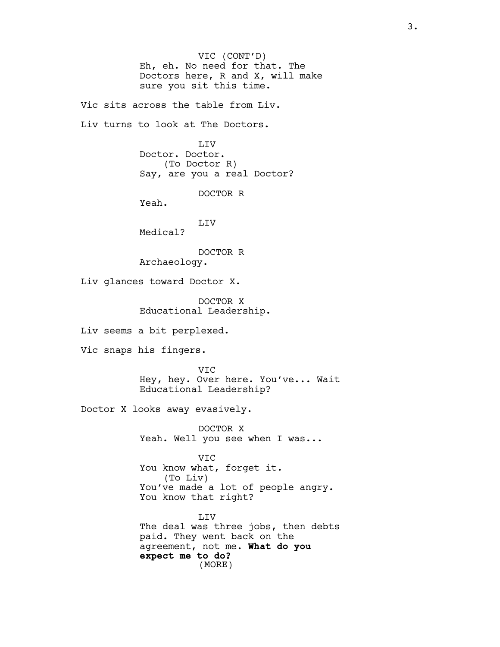VIC (CONT'D) Eh, eh. No need for that. The Doctors here, R and X, will make sure you sit this time.

Vic sits across the table from Liv.

Liv turns to look at The Doctors.

LIV Doctor. Doctor. (To Doctor R) Say, are you a real Doctor?

DOCTOR R

Yeah.

LIV

Medical?

DOCTOR R Archaeology.

Liv glances toward Doctor X.

DOCTOR X Educational Leadership.

Liv seems a bit perplexed.

Vic snaps his fingers.

VIC Hey, hey. Over here. You've... Wait Educational Leadership?

Doctor X looks away evasively.

DOCTOR X Yeah. Well you see when I was...

VIC You know what, forget it. (To Liv) You've made a lot of people angry. You know that right?

LIV The deal was three jobs, then debts paid. They went back on the agreement, not me. **What do you expect me to do?** (MORE)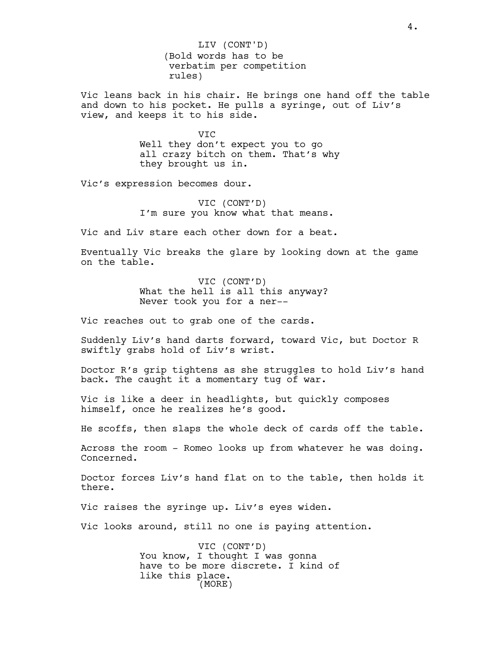(Bold words has to be verbatim per competition rules) LIV (CONT'D)

Vic leans back in his chair. He brings one hand off the table and down to his pocket. He pulls a syringe, out of Liv's view, and keeps it to his side.

> VIC Well they don't expect you to go all crazy bitch on them. That's why they brought us in.

Vic's expression becomes dour.

VIC (CONT'D) I'm sure you know what that means.

Vic and Liv stare each other down for a beat.

Eventually Vic breaks the glare by looking down at the game on the table.

> VIC (CONT'D) What the hell is all this anyway? Never took you for a ner--

Vic reaches out to grab one of the cards.

Suddenly Liv's hand darts forward, toward Vic, but Doctor R swiftly grabs hold of Liv's wrist.

Doctor R's grip tightens as she struggles to hold Liv's hand back. The caught it a momentary tug of war.

Vic is like a deer in headlights, but quickly composes himself, once he realizes he's good.

He scoffs, then slaps the whole deck of cards off the table.

Across the room - Romeo looks up from whatever he was doing. Concerned.

Doctor forces Liv's hand flat on to the table, then holds it there.

Vic raises the syringe up. Liv's eyes widen.

Vic looks around, still no one is paying attention.

VIC (CONT'D) You know, I thought I was gonna have to be more discrete. I kind of like this place. (MORE)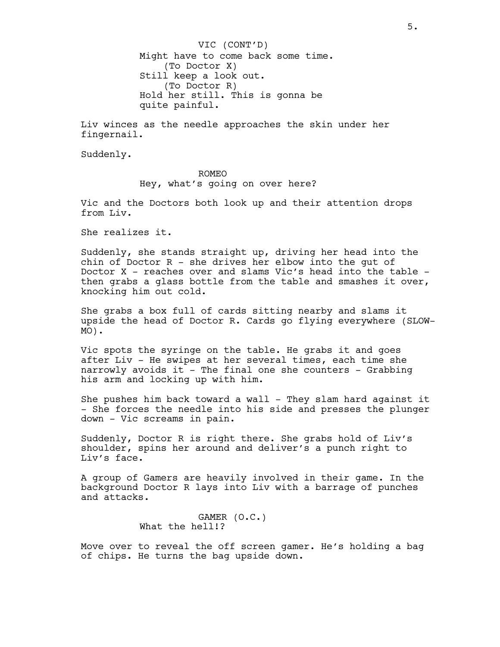Might have to come back some time. (To Doctor X) Still keep a look out. (To Doctor R) Hold her still. This is gonna be quite painful. VIC (CONT'D)

Liv winces as the needle approaches the skin under her fingernail.

Suddenly.

## ROMEO

Hey, what's going on over here?

Vic and the Doctors both look up and their attention drops from Liv.

She realizes it.

Suddenly, she stands straight up, driving her head into the chin of Doctor  $R -$  she drives her elbow into the gut of Doctor X - reaches over and slams Vic's head into the table then grabs a glass bottle from the table and smashes it over, knocking him out cold.

She grabs a box full of cards sitting nearby and slams it upside the head of Doctor R. Cards go flying everywhere (SLOW-MO).

Vic spots the syringe on the table. He grabs it and goes after Liv - He swipes at her several times, each time she narrowly avoids it - The final one she counters - Grabbing his arm and locking up with him.

She pushes him back toward a wall - They slam hard against it - She forces the needle into his side and presses the plunger down - Vic screams in pain.

Suddenly, Doctor R is right there. She grabs hold of Liv's shoulder, spins her around and deliver's a punch right to Liv's face.

A group of Gamers are heavily involved in their game. In the background Doctor R lays into Liv with a barrage of punches and attacks.

> GAMER (O.C.) What the hell!?

Move over to reveal the off screen gamer. He's holding a bag of chips. He turns the bag upside down.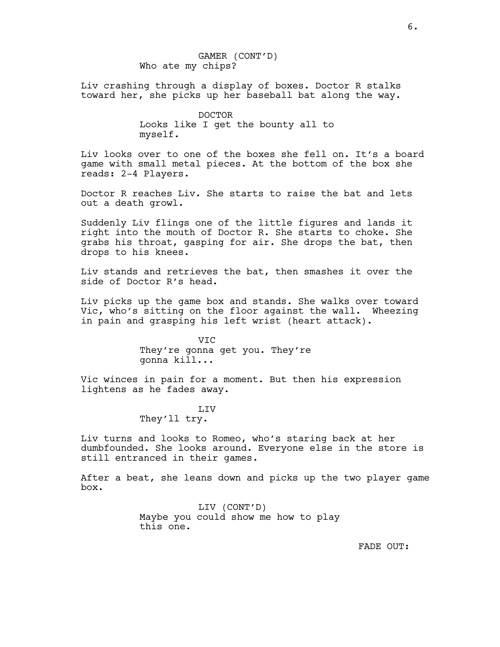GAMER (CONT'D) Who ate my chips?

Liv crashing through a display of boxes. Doctor R stalks toward her, she picks up her baseball bat along the way.

> DOCTOR Looks like I get the bounty all to myself.

Liv looks over to one of the boxes she fell on. It's a board game with small metal pieces. At the bottom of the box she reads: 2-4 Players.

Doctor R reaches Liv. She starts to raise the bat and lets out a death growl.

Suddenly Liv flings one of the little figures and lands it right into the mouth of Doctor R. She starts to choke. She grabs his throat, gasping for air. She drops the bat, then drops to his knees.

Liv stands and retrieves the bat, then smashes it over the side of Doctor R's head.

Liv picks up the game box and stands. She walks over toward Vic, who's sitting on the floor against the wall. Wheezing in pain and grasping his left wrist (heart attack).

> VIC They're gonna get you. They're gonna kill...

Vic winces in pain for a moment. But then his expression lightens as he fades away.

> LIV They'll try.

Liv turns and looks to Romeo, who's staring back at her dumbfounded. She looks around. Everyone else in the store is still entranced in their games.

After a beat, she leans down and picks up the two player game box.

> LIV (CONT'D) Maybe you could show me how to play this one.

> > FADE OUT: